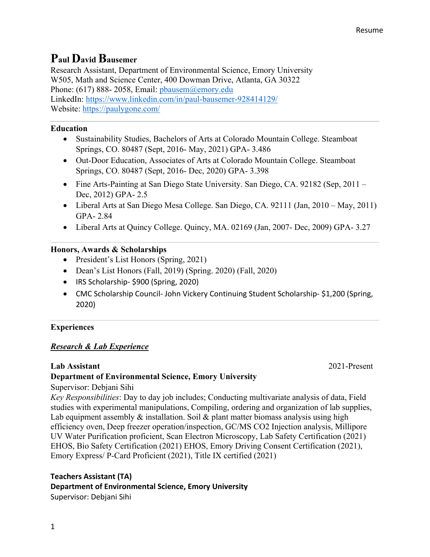# **Paul David Bausemer**

Research Assistant, Department of Environmental Science, Emory University W505, Math and Science Center, 400 Dowman Drive, Atlanta, GA 30322 Phone: (617) 888-2058, Email: pbausem@emory.edu LinkedIn: https://www.linkedin.com/in/paul-bausemer-928414129/ Website: https://paulygone.com/

# **Education**

- Sustainability Studies, Bachelors of Arts at Colorado Mountain College. Steamboat Springs, CO. 80487 (Sept, 2016- May, 2021) GPA- 3.486
- Out-Door Education, Associates of Arts at Colorado Mountain College. Steamboat Springs, CO. 80487 (Sept, 2016- Dec, 2020) GPA- 3.398
- Fine Arts-Painting at San Diego State University. San Diego, CA. 92182 (Sep, 2011 Dec, 2012) GPA- 2.5
- Liberal Arts at San Diego Mesa College. San Diego, CA. 92111 (Jan, 2010 May, 2011) GPA- 2.84
- Liberal Arts at Quincy College. Quincy, MA. 02169 (Jan, 2007- Dec, 2009) GPA- 3.27

# **Honors, Awards & Scholarships**

- President's List Honors (Spring, 2021)
- Dean's List Honors (Fall, 2019) (Spring. 2020) (Fall, 2020)
- IRS Scholarship- \$900 (Spring, 2020)
- CMC Scholarship Council- John Vickery Continuing Student Scholarship- \$1,200 (Spring, 2020)

# **Experiences**

# *Research & Lab Experience*

# **Lab Assistant** 2021-Present

# **Department of Environmental Science, Emory University**

Supervisor: Debjani Sihi

*Key Responsibilities*: Day to day job includes; Conducting multivariate analysis of data, Field studies with experimental manipulations, Compiling, ordering and organization of lab supplies, Lab equipment assembly  $\&$  installation. Soil  $\&$  plant matter biomass analysis using high efficiency oven, Deep freezer operation/inspection, GC/MS CO2 Injection analysis, Millipore UV Water Purification proficient, Scan Electron Microscopy, Lab Safety Certification (2021) EHOS, Bio Safety Certification (2021) EHOS, Emory Driving Consent Certification (2021), Emory Express/ P-Card Proficient (2021), Title IX certified (2021)

# **Teachers Assistant (TA)**

# **Department of Environmental Science, Emory University**

Supervisor: Debjani Sihi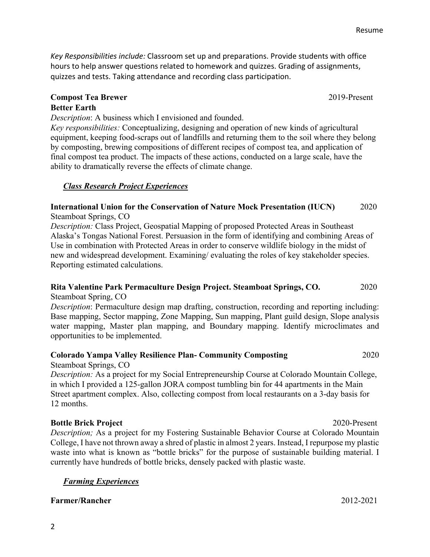Resume

*Key Responsibilities include:* Classroom set up and preparations. Provide students with office hours to help answer questions related to homework and quizzes. Grading of assignments, quizzes and tests. Taking attendance and recording class participation.

# **Compost Tea Brewer** 2019-Present **Better Earth**

*Description*: A business which I envisioned and founded.

*Key responsibilities:* Conceptualizing, designing and operation of new kinds of agricultural equipment, keeping food-scraps out of landfills and returning them to the soil where they belong by composting, brewing compositions of different recipes of compost tea, and application of final compost tea product. The impacts of these actions, conducted on a large scale, have the ability to dramatically reverse the effects of climate change.

# *Class Research Project Experiences*

# **International Union for the Conservation of Nature Mock Presentation (IUCN)** 2020 Steamboat Springs, CO

*Description:* Class Project, Geospatial Mapping of proposed Protected Areas in Southeast Alaska's Tongas National Forest. Persuasion in the form of identifying and combining Areas of Use in combination with Protected Areas in order to conserve wildlife biology in the midst of new and widespread development. Examining/ evaluating the roles of key stakeholder species. Reporting estimated calculations.

#### **Rita Valentine Park Permaculture Design Project. Steamboat Springs, CO.** 2020 Steamboat Spring, CO

*Description*: Permaculture design map drafting, construction, recording and reporting including: Base mapping, Sector mapping, Zone Mapping, Sun mapping, Plant guild design, Slope analysis water mapping, Master plan mapping, and Boundary mapping. Identify microclimates and opportunities to be implemented.

# **Colorado Yampa Valley Resilience Plan- Community Composting** 2020

Steamboat Springs, CO

*Description:* As a project for my Social Entrepreneurship Course at Colorado Mountain College, in which I provided a 125-gallon JORA compost tumbling bin for 44 apartments in the Main Street apartment complex. Also, collecting compost from local restaurants on a 3-day basis for 12 months.

# **Bottle Brick Project** 2020-Present

*Description;* As a project for my Fostering Sustainable Behavior Course at Colorado Mountain College, I have not thrown away a shred of plastic in almost 2 years. Instead, I repurpose my plastic waste into what is known as "bottle bricks" for the purpose of sustainable building material. I currently have hundreds of bottle bricks, densely packed with plastic waste.

# *Farming Experiences*

# **Farmer/Rancher** 2012-2021

2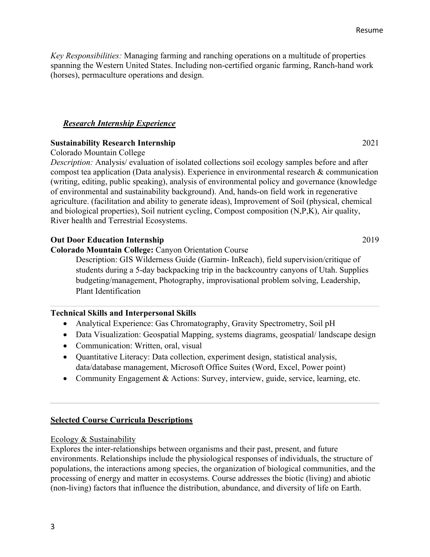# **Selected Course Curricula Descriptions**

#### Ecology & Sustainability

Explores the inter-relationships between organisms and their past, present, and future environments. Relationships include the physiological responses of individuals, the structure of populations, the interactions among species, the organization of biological communities, and the processing of energy and matter in ecosystems. Course addresses the biotic (living) and abiotic (non-living) factors that influence the distribution, abundance, and diversity of life on Earth.

*Key Responsibilities:* Managing farming and ranching operations on a multitude of properties spanning the Western United States. Including non-certified organic farming, Ranch-hand work (horses), permaculture operations and design.

### *Research Internship Experience*

# **Sustainability Research Internship** 2021

Colorado Mountain College

*Description:* Analysis/ evaluation of isolated collections soil ecology samples before and after compost tea application (Data analysis). Experience in environmental research & communication (writing, editing, public speaking), analysis of environmental policy and governance (knowledge of environmental and sustainability background). And, hands-on field work in regenerative agriculture. (facilitation and ability to generate ideas), Improvement of Soil (physical, chemical and biological properties), Soil nutrient cycling, Compost composition (N,P,K), Air quality, River health and Terrestrial Ecosystems.

### **Out Door Education Internship** 2019

**Colorado Mountain College:** Canyon Orientation Course

Description: GIS Wilderness Guide (Garmin- InReach), field supervision/critique of students during a 5-day backpacking trip in the backcountry canyons of Utah. Supplies budgeting/management, Photography, improvisational problem solving, Leadership, Plant Identification

#### **Technical Skills and Interpersonal Skills**

- Analytical Experience: Gas Chromatography, Gravity Spectrometry, Soil pH
- Data Visualization: Geospatial Mapping, systems diagrams, geospatial/ landscape design
- Communication: Written, oral, visual
- Quantitative Literacy: Data collection, experiment design, statistical analysis, data/database management, Microsoft Office Suites (Word, Excel, Power point)
- Community Engagement & Actions: Survey, interview, guide, service, learning, etc.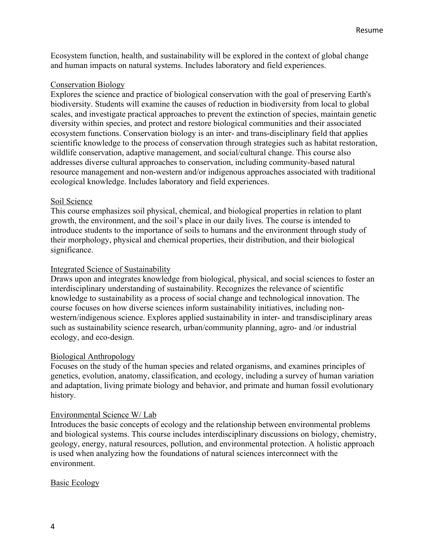Ecosystem function, health, and sustainability will be explored in the context of global change and human impacts on natural systems. Includes laboratory and field experiences.

### Conservation Biology

Explores the science and practice of biological conservation with the goal of preserving Earth's biodiversity. Students will examine the causes of reduction in biodiversity from local to global scales, and investigate practical approaches to prevent the extinction of species, maintain genetic diversity within species, and protect and restore biological communities and their associated ecosystem functions. Conservation biology is an inter- and trans-disciplinary field that applies scientific knowledge to the process of conservation through strategies such as habitat restoration, wildlife conservation, adaptive management, and social/cultural change. This course also addresses diverse cultural approaches to conservation, including community-based natural resource management and non-western and/or indigenous approaches associated with traditional ecological knowledge. Includes laboratory and field experiences.

### Soil Science

This course emphasizes soil physical, chemical, and biological properties in relation to plant growth, the environment, and the soil's place in our daily lives. The course is intended to introduce students to the importance of soils to humans and the environment through study of their morphology, physical and chemical properties, their distribution, and their biological significance.

### Integrated Science of Sustainability

Draws upon and integrates knowledge from biological, physical, and social sciences to foster an interdisciplinary understanding of sustainability. Recognizes the relevance of scientific knowledge to sustainability as a process of social change and technological innovation. The course focuses on how diverse sciences inform sustainability initiatives, including nonwestern/indigenous science. Explores applied sustainability in inter- and transdisciplinary areas such as sustainability science research, urban/community planning, agro- and /or industrial ecology, and eco-design.

## Biological Anthropology

Focuses on the study of the human species and related organisms, and examines principles of genetics, evolution, anatomy, classification, and ecology, including a survey of human variation and adaptation, living primate biology and behavior, and primate and human fossil evolutionary history.

#### Environmental Science W/ Lab

Introduces the basic concepts of ecology and the relationship between environmental problems and biological systems. This course includes interdisciplinary discussions on biology, chemistry, geology, energy, natural resources, pollution, and environmental protection. A holistic approach is used when analyzing how the foundations of natural sciences interconnect with the environment.

#### Basic Ecology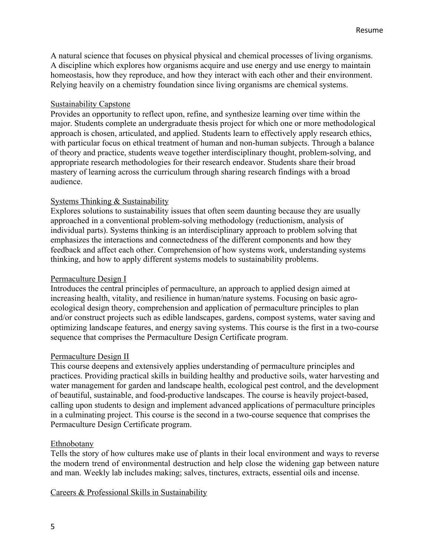A natural science that focuses on physical physical and chemical processes of living organisms. A discipline which explores how organisms acquire and use energy and use energy to maintain homeostasis, how they reproduce, and how they interact with each other and their environment. Relying heavily on a chemistry foundation since living organisms are chemical systems.

### Sustainability Capstone

Provides an opportunity to reflect upon, refine, and synthesize learning over time within the major. Students complete an undergraduate thesis project for which one or more methodological approach is chosen, articulated, and applied. Students learn to effectively apply research ethics, with particular focus on ethical treatment of human and non-human subjects. Through a balance of theory and practice, students weave together interdisciplinary thought, problem-solving, and appropriate research methodologies for their research endeavor. Students share their broad mastery of learning across the curriculum through sharing research findings with a broad audience.

## Systems Thinking & Sustainability

Explores solutions to sustainability issues that often seem daunting because they are usually approached in a conventional problem-solving methodology (reductionism, analysis of individual parts). Systems thinking is an interdisciplinary approach to problem solving that emphasizes the interactions and connectedness of the different components and how they feedback and affect each other. Comprehension of how systems work, understanding systems thinking, and how to apply different systems models to sustainability problems.

#### Permaculture Design I

Introduces the central principles of permaculture, an approach to applied design aimed at increasing health, vitality, and resilience in human/nature systems. Focusing on basic agroecological design theory, comprehension and application of permaculture principles to plan and/or construct projects such as edible landscapes, gardens, compost systems, water saving and optimizing landscape features, and energy saving systems. This course is the first in a two-course sequence that comprises the Permaculture Design Certificate program.

#### Permaculture Design II

This course deepens and extensively applies understanding of permaculture principles and practices. Providing practical skills in building healthy and productive soils, water harvesting and water management for garden and landscape health, ecological pest control, and the development of beautiful, sustainable, and food-productive landscapes. The course is heavily project-based, calling upon students to design and implement advanced applications of permaculture principles in a culminating project. This course is the second in a two-course sequence that comprises the Permaculture Design Certificate program.

#### Ethnobotany

Tells the story of how cultures make use of plants in their local environment and ways to reverse the modern trend of environmental destruction and help close the widening gap between nature and man. Weekly lab includes making; salves, tinctures, extracts, essential oils and incense.

Careers & Professional Skills in Sustainability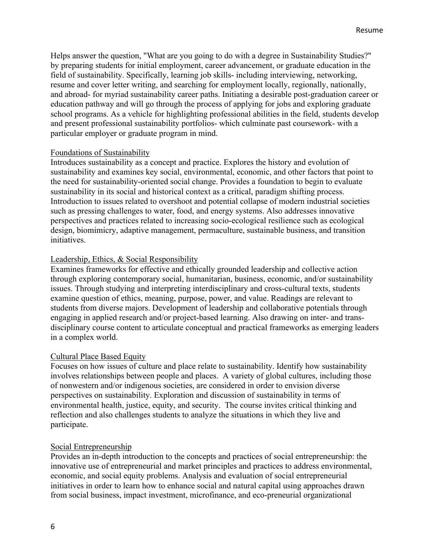Helps answer the question, "What are you going to do with a degree in Sustainability Studies?" by preparing students for initial employment, career advancement, or graduate education in the field of sustainability. Specifically, learning job skills- including interviewing, networking, resume and cover letter writing, and searching for employment locally, regionally, nationally, and abroad- for myriad sustainability career paths. Initiating a desirable post-graduation career or education pathway and will go through the process of applying for jobs and exploring graduate school programs. As a vehicle for highlighting professional abilities in the field, students develop and present professional sustainability portfolios- which culminate past coursework- with a particular employer or graduate program in mind.

#### Foundations of Sustainability

Introduces sustainability as a concept and practice. Explores the history and evolution of sustainability and examines key social, environmental, economic, and other factors that point to the need for sustainability-oriented social change. Provides a foundation to begin to evaluate sustainability in its social and historical context as a critical, paradigm shifting process. Introduction to issues related to overshoot and potential collapse of modern industrial societies such as pressing challenges to water, food, and energy systems. Also addresses innovative perspectives and practices related to increasing socio-ecological resilience such as ecological design, biomimicry, adaptive management, permaculture, sustainable business, and transition initiatives.

### Leadership, Ethics, & Social Responsibility

Examines frameworks for effective and ethically grounded leadership and collective action through exploring contemporary social, humanitarian, business, economic, and/or sustainability issues. Through studying and interpreting interdisciplinary and cross-cultural texts, students examine question of ethics, meaning, purpose, power, and value. Readings are relevant to students from diverse majors. Development of leadership and collaborative potentials through engaging in applied research and/or project-based learning. Also drawing on inter- and transdisciplinary course content to articulate conceptual and practical frameworks as emerging leaders in a complex world.

## Cultural Place Based Equity

Focuses on how issues of culture and place relate to sustainability. Identify how sustainability involves relationships between people and places. A variety of global cultures, including those of nonwestern and/or indigenous societies, are considered in order to envision diverse perspectives on sustainability. Exploration and discussion of sustainability in terms of environmental health, justice, equity, and security. The course invites critical thinking and reflection and also challenges students to analyze the situations in which they live and participate.

#### Social Entrepreneurship

Provides an in-depth introduction to the concepts and practices of social entrepreneurship: the innovative use of entrepreneurial and market principles and practices to address environmental, economic, and social equity problems. Analysis and evaluation of social entrepreneurial initiatives in order to learn how to enhance social and natural capital using approaches drawn from social business, impact investment, microfinance, and eco-preneurial organizational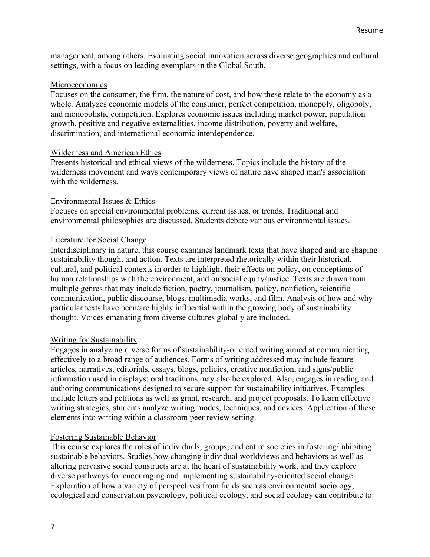management, among others. Evaluating social innovation across diverse geographies and cultural settings, with a focus on leading exemplars in the Global South.

#### Microeconomics

Focuses on the consumer, the firm, the nature of cost, and how these relate to the economy as a whole. Analyzes economic models of the consumer, perfect competition, monopoly, oligopoly, and monopolistic competition. Explores economic issues including market power, population growth, positive and negative externalities, income distribution, poverty and welfare, discrimination, and international economic interdependence.

#### Wilderness and American Ethics

Presents historical and ethical views of the wilderness. Topics include the history of the wilderness movement and ways contemporary views of nature have shaped man's association with the wilderness.

#### Environmental Issues & Ethics

Focuses on special environmental problems, current issues, or trends. Traditional and environmental philosophies are discussed. Students debate various environmental issues.

#### Literature for Social Change

Interdisciplinary in nature, this course examines landmark texts that have shaped and are shaping sustainability thought and action. Texts are interpreted rhetorically within their historical, cultural, and political contexts in order to highlight their effects on policy, on conceptions of human relationships with the environment, and on social equity/justice. Texts are drawn from multiple genres that may include fiction, poetry, journalism, policy, nonfiction, scientific communication, public discourse, blogs, multimedia works, and film. Analysis of how and why particular texts have been/are highly influential within the growing body of sustainability thought. Voices emanating from diverse cultures globally are included.

#### Writing for Sustainability

Engages in analyzing diverse forms of sustainability-oriented writing aimed at communicating effectively to a broad range of audiences. Forms of writing addressed may include feature articles, narratives, editorials, essays, blogs, policies, creative nonfiction, and signs/public information used in displays; oral traditions may also be explored. Also, engages in reading and authoring communications designed to secure support for sustainability initiatives. Examples include letters and petitions as well as grant, research, and project proposals. To learn effective writing strategies, students analyze writing modes, techniques, and devices. Application of these elements into writing within a classroom peer review setting.

#### Fostering Sustainable Behavior

This course explores the roles of individuals, groups, and entire societies in fostering/inhibiting sustainable behaviors. Studies how changing individual worldviews and behaviors as well as altering pervasive social constructs are at the heart of sustainability work, and they explore diverse pathways for encouraging and implementing sustainability-oriented social change. Exploration of how a variety of perspectives from fields such as environmental sociology, ecological and conservation psychology, political ecology, and social ecology can contribute to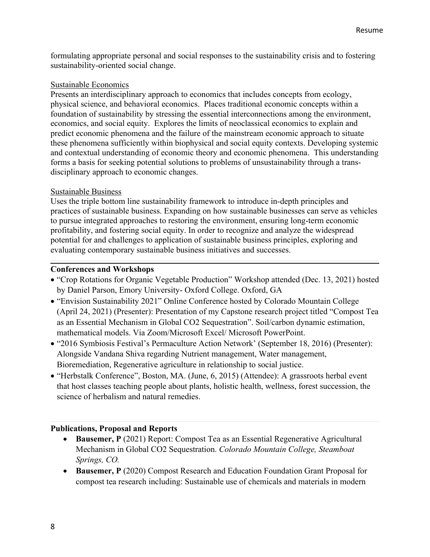formulating appropriate personal and social responses to the sustainability crisis and to fostering sustainability-oriented social change.

# Sustainable Economics

Presents an interdisciplinary approach to economics that includes concepts from ecology, physical science, and behavioral economics. Places traditional economic concepts within a foundation of sustainability by stressing the essential interconnections among the environment, economics, and social equity. Explores the limits of neoclassical economics to explain and predict economic phenomena and the failure of the mainstream economic approach to situate these phenomena sufficiently within biophysical and social equity contexts. Developing systemic and contextual understanding of economic theory and economic phenomena. This understanding forms a basis for seeking potential solutions to problems of unsustainability through a transdisciplinary approach to economic changes.

# Sustainable Business

Uses the triple bottom line sustainability framework to introduce in-depth principles and practices of sustainable business. Expanding on how sustainable businesses can serve as vehicles to pursue integrated approaches to restoring the environment, ensuring long-term economic profitability, and fostering social equity. In order to recognize and analyze the widespread potential for and challenges to application of sustainable business principles, exploring and evaluating contemporary sustainable business initiatives and successes.

# **Conferences and Workshops**

- "Crop Rotations for Organic Vegetable Production" Workshop attended (Dec. 13, 2021) hosted by Daniel Parson, Emory University- Oxford College. Oxford, GA
- "Envision Sustainability 2021" Online Conference hosted by Colorado Mountain College (April 24, 2021) (Presenter): Presentation of my Capstone research project titled "Compost Tea as an Essential Mechanism in Global CO2 Sequestration". Soil/carbon dynamic estimation, mathematical models. Via Zoom/Microsoft Excel/ Microsoft PowerPoint.
- "2016 Symbiosis Festival's Permaculture Action Network' (September 18, 2016) (Presenter): Alongside Vandana Shiva regarding Nutrient management, Water management, Bioremediation, Regenerative agriculture in relationship to social justice.
- "Herbstalk Conference", Boston, MA. (June, 6, 2015) (Attendee): A grassroots herbal event that host classes teaching people about plants, holistic health, wellness, forest succession, the science of herbalism and natural remedies.

# **Publications, Proposal and Reports**

- **Bausemer, P** (2021) Report: Compost Tea as an Essential Regenerative Agricultural Mechanism in Global CO2 Sequestration. *Colorado Mountain College, Steamboat Springs, CO.*
- **Bausemer, P** (2020) Compost Research and Education Foundation Grant Proposal for compost tea research including: Sustainable use of chemicals and materials in modern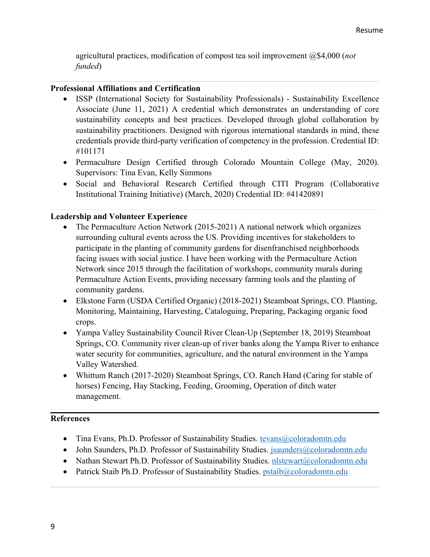agricultural practices, modification of compost tea soil improvement @\$4,000 (*not funded*)

# **Professional Affiliations and Certification**

- ISSP (International Society for Sustainability Professionals) Sustainability Excellence Associate (June 11, 2021) A credential which demonstrates an understanding of core sustainability concepts and best practices. Developed through global collaboration by sustainability practitioners. Designed with rigorous international standards in mind, these credentials provide third-party verification of competency in the profession. Credential ID: #101171
- Permaculture Design Certified through Colorado Mountain College (May, 2020). Supervisors: Tina Evan, Kelly Simmons
- Social and Behavioral Research Certified through CITI Program (Collaborative Institutional Training Initiative) (March, 2020) Credential ID: #41420891

# **Leadership and Volunteer Experience**

- The Permaculture Action Network (2015-2021) A national network which organizes surrounding cultural events across the US. Providing incentives for stakeholders to participate in the planting of community gardens for disenfranchised neighborhoods facing issues with social justice. I have been working with the Permaculture Action Network since 2015 through the facilitation of workshops, community murals during Permaculture Action Events, providing necessary farming tools and the planting of community gardens.
- Elkstone Farm (USDA Certified Organic) (2018-2021) Steamboat Springs, CO. Planting, Monitoring, Maintaining, Harvesting, Cataloguing, Preparing, Packaging organic food crops.
- Yampa Valley Sustainability Council River Clean-Up (September 18, 2019) Steamboat Springs, CO. Community river clean-up of river banks along the Yampa River to enhance water security for communities, agriculture, and the natural environment in the Yampa Valley Watershed.
- Whittum Ranch (2017-2020) Steamboat Springs, CO. Ranch Hand (Caring for stable of horses) Fencing, Hay Stacking, Feeding, Grooming, Operation of ditch water management.

# **References**

- Tina Evans, Ph.D. Professor of Sustainability Studies. tevans@coloradomtn.edu
- John Saunders, Ph.D. Professor of Sustainability Studies. jsaunders@coloradomtn.edu
- Nathan Stewart Ph.D. Professor of Sustainability Studies. nlstewart@coloradomtn.edu
- Patrick Staib Ph.D. Professor of Sustainability Studies. pstaib@coloradomtn.edu